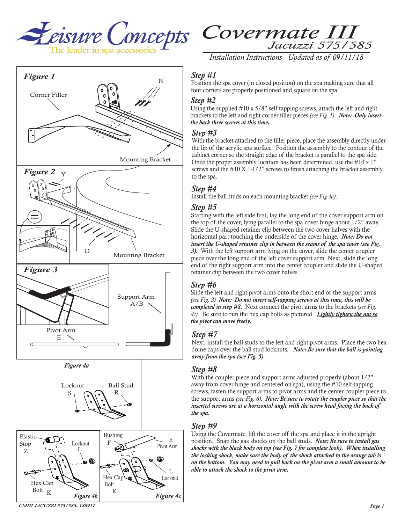



*Installation Instructions - Updated as of 09/11/18*

# *Step #1*

Position the spa cover (in closed position) on the spa making sure that all four corners are properly positioned and square on the spa.

#### *Step #2*

Using the supplied #10 x 5/8" self-tapping screws, attach the left and right brackets to the left and right corner filler pieces *(see Fig. 1)*. *Note: Only insert the back three screws at this time.*

#### *Step #3*

With the bracket attached to the filler piece, place the assembly directly under the lip of the acrylic spa surface. Position the assembly to the contour of the cabinet corner so the straight edge of the bracket is parallel to the spa side. Once the proper assembly location has been determined, use the #10 x 1" screws and the #10 X 1-1/2" screws to finish attaching the bracket assembly to the spa.

## *Step #4*

Install the ball studs on each mounting bracket *(see Fig 4a)*.

#### *Step #5*

Starting with the left side first, lay the long end of the cover support arm on the top of the cover, lying parallel to the spa cover hinge about 1/2" away. Slide the U-shaped retainer clip between the two cover halves with the horizontal part touching the underside of the cover hinge. *Note: Do not insert the U-shaped retainer clip in between the seams of the spa cover (see Fig. 3).* With the left support arm lying on the cover, slide the center coupler piece over the long end of the left cover support arm. Next, slide the long end of the right support arm into the center coupler and slide the U-shaped retainer clip between the two cover halves.

## *Step #6*

Slide the left and right pivot arms onto the short end of the support arms *(see Fig. 3) Note: Do not insert self-tapping screws at this time, this will be completed in step #8.* Next connect the pivot arms to the brackets *(see Fig. 4c)*. Be sure to run the hex cap bolts as pictured. *Lightly tighten the nut so the pivot can move freely.*

## *Step #7*

Next, install the ball studs to the left and right pivot arms. Place the two hex dome caps over the ball stud locknuts. *Note: Be sure that the ball is pointing away from the spa (see Fig. 5)*.

#### *Step #8*

With the coupler piece and support arms adjusted properly (about  $1/2$ ") away from cover hinge and centered on spa), using the #10 self-tapping screws, fasten the support arms to pivot arms and the center coupler piece to the support arms *(see Fig. 6)*. *Note: Be sure to rotate the coupler piece so that the inserted screws are at a horizontal angle with the screw head facing the back of the spa.* 

#### *Step #9*

Using the Covermate, lift the cover off the spa and place it in the upright position. Snap the gas shocks on the ball studs. *Note: Be sure to install gas shocks with the black body on top (see Fig. 7 for complete look). When installing the locking shock, make sure the body of the shock attached to the orange tab is on the bottom. You may need to pull back on the pivot arm a small amount to be able to attach the shock to the pivot arm.*



*CMIII JACUZZI 575/585- 180911*